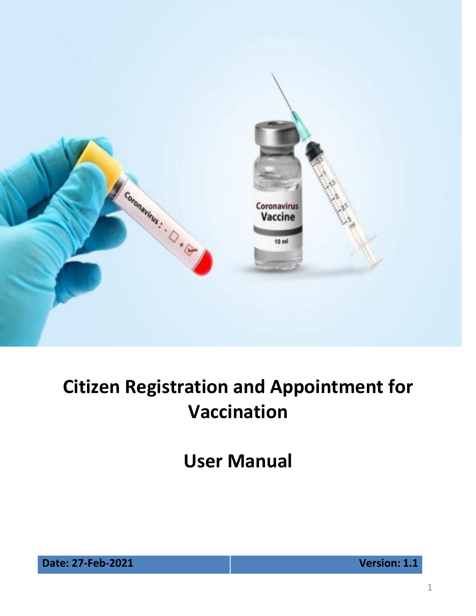

**User Manual**

**Date: 27-Feb-2021 Version: 1.1**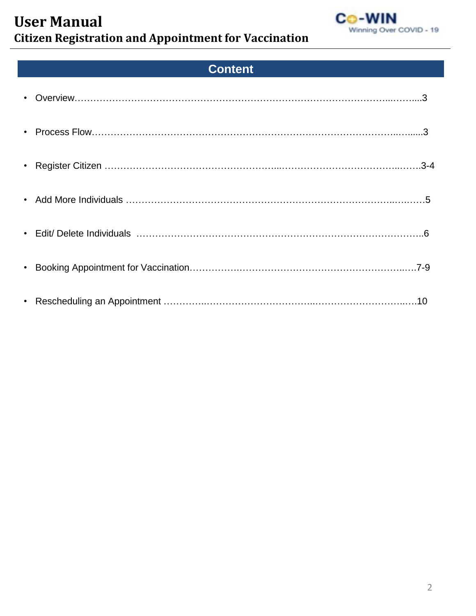

## **Content**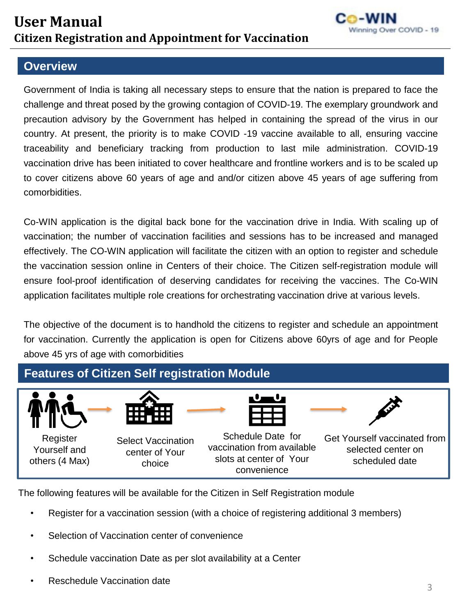

#### **Overview**

Government of India is taking all necessary steps to ensure that the nation is prepared to face the challenge and threat posed by the growing contagion of COVID-19. The exemplary groundwork and precaution advisory by the Government has helped in containing the spread of the virus in our country. At present, the priority is to make COVID -19 vaccine available to all, ensuring vaccine traceability and beneficiary tracking from production to last mile administration. COVID-19 vaccination drive has been initiated to cover healthcare and frontline workers and is to be scaled up to cover citizens above 60 years of age and and/or citizen above 45 years of age suffering from comorbidities.

Co-WIN application is the digital back bone for the vaccination drive in India. With scaling up of vaccination; the number of vaccination facilities and sessions has to be increased and managed effectively. The CO-WIN application will facilitate the citizen with an option to register and schedule the vaccination session online in Centers of their choice. The Citizen self-registration module will ensure fool-proof identification of deserving candidates for receiving the vaccines. The Co-WIN application facilitates multiple role creations for orchestrating vaccination drive at various levels.

The objective of the document is to handhold the citizens to register and schedule an appointment for vaccination. Currently the application is open for Citizens above 60yrs of age and for People above 45 yrs of age with comorbidities



The following features will be available for the Citizen in Self Registration module

- Register for a vaccination session (with a choice of registering additional 3 members)
- Selection of Vaccination center of convenience
- Schedule vaccination Date as per slot availability at a Center
- Reschedule Vaccination date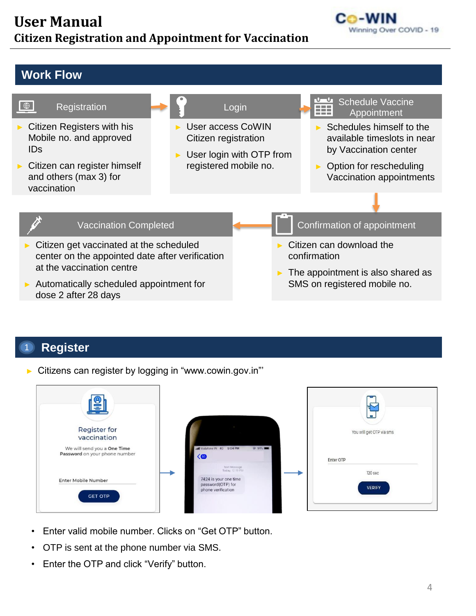

#### **Work Flow**



#### **Register** 1

► Citizens can register by logging in "www.cowin.gov.in"'

| $\frac{1}{2}$                                                |                                                                  | --<br>F<br>' ہے۔         |
|--------------------------------------------------------------|------------------------------------------------------------------|--------------------------|
| <b>Register for</b><br>vaccination                           |                                                                  | You will get OTP via sms |
| We will send you a One Time<br>Password on your phone number | atl Vodafone IN 4G 5:04 PM<br>@ 91%<br>$\langle $                | Enter OTP                |
|                                                              | Text Message<br>Today, 12:19 PM                                  | 120 sec                  |
| Enter Mobile Number<br><b>GET OTP</b>                        | 7424 is your one time<br>password(OTP) for<br>phone verification | <b>VERIFY</b>            |

- Enter valid mobile number. Clicks on "Get OTP" button.
- OTP is sent at the phone number via SMS.
- Enter the OTP and click "Verify" button.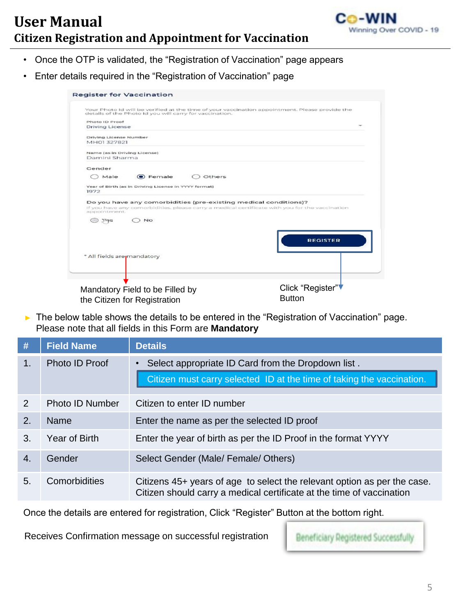

- Once the OTP is validated, the "Registration of Vaccination" page appears
- Enter details required in the "Registration of Vaccination" page

| Your Photo Id will be verified at the time of your vaccination appointment. Please provide the<br>details of the Photo Id you will carry for vaccination.                                                                                          |                  |
|----------------------------------------------------------------------------------------------------------------------------------------------------------------------------------------------------------------------------------------------------|------------------|
| Photo ID Proof                                                                                                                                                                                                                                     |                  |
| Driving License                                                                                                                                                                                                                                    |                  |
| Driving License Number                                                                                                                                                                                                                             |                  |
| MH01327821                                                                                                                                                                                                                                         |                  |
| Name (as in Driving License)                                                                                                                                                                                                                       |                  |
| Damini Sharma                                                                                                                                                                                                                                      |                  |
| Gender                                                                                                                                                                                                                                             |                  |
| <b>O</b> Female<br>Male<br>Others                                                                                                                                                                                                                  |                  |
| Year of Birth (as in Driving License in YYYY format)                                                                                                                                                                                               |                  |
| 1972                                                                                                                                                                                                                                               |                  |
|                                                                                                                                                                                                                                                    |                  |
|                                                                                                                                                                                                                                                    |                  |
| <b>No</b><br>() YAS                                                                                                                                                                                                                                |                  |
|                                                                                                                                                                                                                                                    |                  |
|                                                                                                                                                                                                                                                    | <b>REGISTER</b>  |
|                                                                                                                                                                                                                                                    |                  |
|                                                                                                                                                                                                                                                    |                  |
|                                                                                                                                                                                                                                                    |                  |
|                                                                                                                                                                                                                                                    |                  |
|                                                                                                                                                                                                                                                    |                  |
|                                                                                                                                                                                                                                                    |                  |
| Do you have any comorbidities (pre-existing medical conditions)?<br>If you have any comorbidities, please carry a medical certificate with you for the vaccination<br>appointment<br>* All fields are mandatory<br>Mandatory Field to be Filled by | Click "Register" |

► The below table shows the details to be entered in the "Registration of Vaccination" page. Please note that all fields in this Form are **Mandatory**

| #              | <b>Field Name</b>      | <b>Details</b>                                                                                                                                    |
|----------------|------------------------|---------------------------------------------------------------------------------------------------------------------------------------------------|
| $\mathbf{1}$ . | Photo ID Proof         | Select appropriate ID Card from the Dropdown list.                                                                                                |
|                |                        | Citizen must carry selected ID at the time of taking the vaccination.                                                                             |
| 2              | <b>Photo ID Number</b> | Citizen to enter ID number                                                                                                                        |
| 2.             | <b>Name</b>            | Enter the name as per the selected ID proof                                                                                                       |
| 3.             | <b>Year of Birth</b>   | Enter the year of birth as per the ID Proof in the format YYYY                                                                                    |
| 4.             | Gender                 | Select Gender (Male/ Female/ Others)                                                                                                              |
| 5.             | Comorbidities          | Citizens 45+ years of age to select the relevant option as per the case.<br>Citizen should carry a medical certificate at the time of vaccination |

Once the details are entered for registration, Click "Register" Button at the bottom right.

Receives Confirmation message on successful registration

Beneficiary Registered Successfully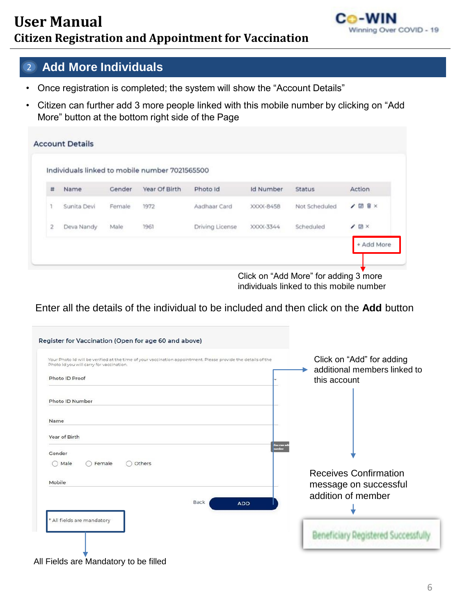

#### 2 **Add More Individuals**

- Once registration is completed; the system will show the "Account Details"
- Citizen can further add 3 more people linked with this mobile number by clicking on "Add More" button at the bottom right side of the Page

|           |             |        | Individuals linked to mobile number 7021565500 |                 |                  |               |         |
|-----------|-------------|--------|------------------------------------------------|-----------------|------------------|---------------|---------|
| #         | Name        | Gender | Year Of Birth                                  | Photo Id        | <b>Id Number</b> | <b>Status</b> | Action  |
| ٦         | Sunita Devi | Female | 1972                                           | Aadhaar Card    | XXXX-8458        | Not Scheduled | / 图 B × |
| $\bar{z}$ | Deva Nandy  | Male   | 1961                                           | Driving License | XXXX-3344        | Scheduled     | 20x     |

Click on "Add More" for adding 3 more individuals linked to this mobile number

Enter all the details of the individual to be included and then click on the **Add** button

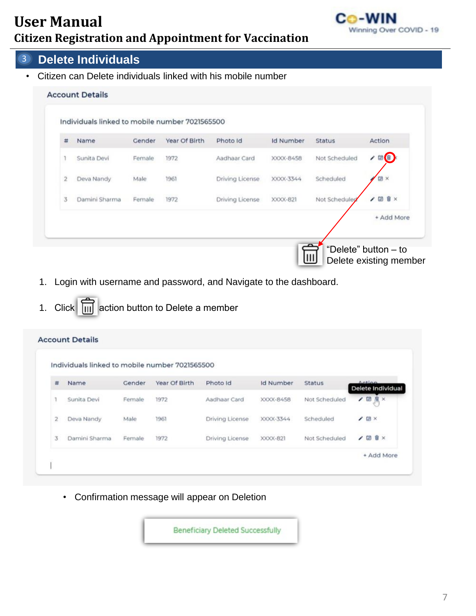

#### 3 **Delete Individuals**

• Citizen can Delete individuals linked with his mobile number

|                |               |        |      |                 |           |               | Action                |
|----------------|---------------|--------|------|-----------------|-----------|---------------|-----------------------|
|                | Sunita Devi   | Female | 1972 | Aadhaar Card    | XXXX-8458 | Not Scheduled | $\angle \blacksquare$ |
| $\overline{c}$ | Deva Nandy    | Male   | 1961 | Driving License | XXXX-3344 | Scheduled     | 国 ×                   |
| 3              | Damini Sharma | Female | 1972 | Driving License | XXXX-821  | Not Scheduled | <b>田盲×</b><br>,       |

- 1. Login with username and password, and Navigate to the dashboard.
- 1. Click  $\boxed{1}$  action button to Delete a member

|              | Individuals linked to mobile number 7021565500 |        |               |                 |                  |               |                             |
|--------------|------------------------------------------------|--------|---------------|-----------------|------------------|---------------|-----------------------------|
| #            | Name                                           | Gender | Year Of Birth | Photo Id        | <b>Id Number</b> | <b>Status</b> | Action<br>Delete Individual |
|              | Sunita Devi                                    | Female | 1972          | Aadhaar Card    | XXXX-8458        | Not Scheduled | 208                         |
| $\mathbf{2}$ | Deva Nandy                                     | Male   | 1961          | Driving License | XXXX-3344        | Scheduled     | $\prime$ m $\times$         |
| 3            | Damini Sharma                                  | Female | 1972          | Driving License | XXXX-821         | Not Scheduled | $200 \times$                |

• Confirmation message will appear on Deletion

**Beneficiary Deleted Successfully**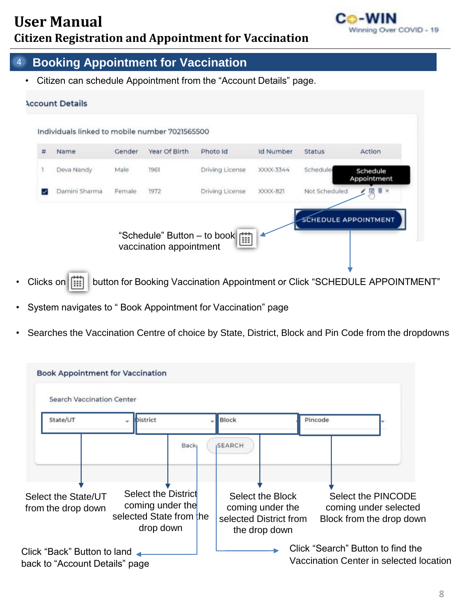

#### 4 **Booking Appointment for Vaccination**

• Citizen can schedule Appointment from the "Account Details" page.



- Clicks on  $\left| \begin{array}{c} \cdots \end{array} \right|$  button for Booking Vaccination Appointment or Click "SCHEDULE APPOINTMENT"
- System navigates to " Book Appointment for Vaccination" page
- Searches the Vaccination Centre of choice by State, District, Block and Pin Code from the dropdowns

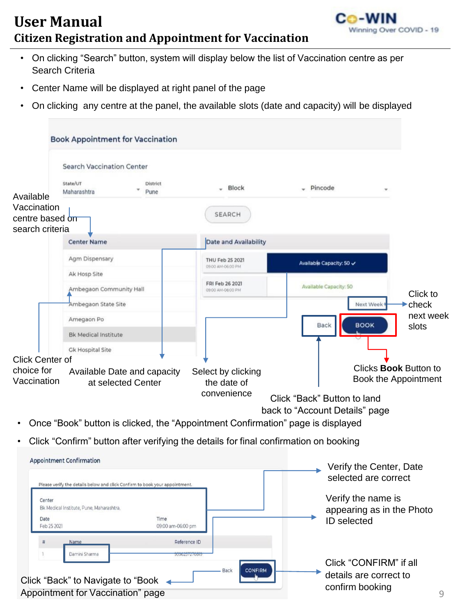

9

- On clicking "Search" button, system will display below the list of Vaccination centre as per Search Criteria
- Center Name will be displayed at right panel of the page
- On clicking any centre at the panel, the available slots (date and capacity) will be displayed

|                                                   | <b>Book Appointment for Vaccination</b>                                              |                                      |                                                  |           |
|---------------------------------------------------|--------------------------------------------------------------------------------------|--------------------------------------|--------------------------------------------------|-----------|
|                                                   | <b>Search Vaccination Center</b>                                                     |                                      |                                                  |           |
| Available                                         | State/UT<br>District<br>Maharashtra<br>Pune                                          | Block                                | Pincode                                          |           |
| Vaccination<br>centre based on<br>search criteria |                                                                                      | <b>SEARCH</b>                        |                                                  |           |
|                                                   | <b>Center Name</b>                                                                   | Date and Availability                |                                                  |           |
|                                                   | Agm Dispensary                                                                       | THU Feb 25 2021<br>09:00 AM-06:00 PM | Available Capacity: 50 $\checkmark$              |           |
|                                                   | Ak Hosp Site                                                                         |                                      |                                                  |           |
|                                                   | Ambegaon Community Hall                                                              | FRI Feb 26 2021<br>09:00 AM-06:00 PM | Available Capacity: 50                           | Click to  |
|                                                   | Ambegaon State Site                                                                  |                                      | $\blacktriangleright$ check<br>Next Week         |           |
|                                                   | Amegaon Po                                                                           |                                      | <b>BOOK</b><br><b>Back</b><br>slots              | next week |
|                                                   | <b>Bk Medical Institute</b>                                                          |                                      |                                                  |           |
|                                                   | <b>Gk Hospital Site</b>                                                              |                                      |                                                  |           |
| <b>Click Center of</b><br>choice for              |                                                                                      |                                      | Clicks <b>Book</b> Button to                     |           |
| Vaccination                                       | Available Date and capacity<br>at selected Center                                    | Select by clicking<br>the date of    | Book the Appointment                             |           |
|                                                   |                                                                                      | convenience                          | Click "Back" Button to land                      |           |
|                                                   |                                                                                      |                                      | back to "Account Details" page                   |           |
| $\bullet$                                         | Once "Book" button is clicked, the "Appointment Confirmation" page is displayed      |                                      |                                                  |           |
|                                                   |                                                                                      |                                      |                                                  |           |
|                                                   | Click "Confirm" button after verifying the details for final confirmation on booking |                                      |                                                  |           |
|                                                   | <b>Appointment Confirmation</b>                                                      |                                      |                                                  |           |
|                                                   |                                                                                      |                                      | Verify the Center, Date<br>مصعومهم وعوام المصدور |           |

| Please verify the details below and click Confirm to book your appointment. |                           |                | selected are correct                             |
|-----------------------------------------------------------------------------|---------------------------|----------------|--------------------------------------------------|
| Center<br>Bk Medical Institute, Pune, Maharashtra,                          |                           |                | Verify the name is<br>appearing as in the Photo  |
| Date<br>Feb 25 2021                                                         | Time<br>09:00 am-06:00 pm |                | <b>ID</b> selected                               |
| Name<br>×                                                                   | Reference ID              |                |                                                  |
| Damini Sharma<br>Click "Back" to Navigate to "Book <                        | <b>Back</b>               | <b>CONFIRM</b> | Click "CONFIRM" if all<br>details are correct to |
| Appointment for Vaccination" page                                           |                           |                | confirm booking                                  |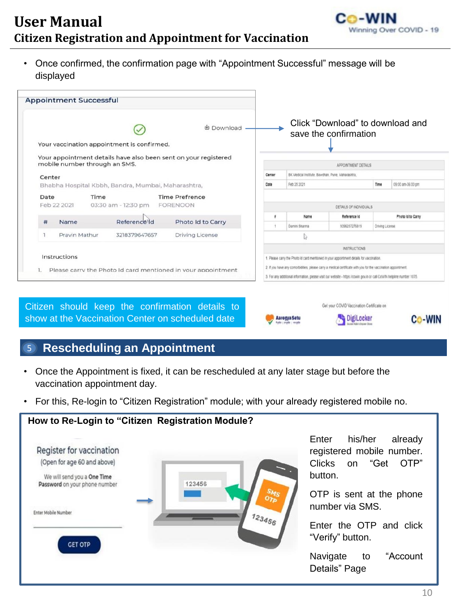

• Once confirmed, the confirmation page with "Appointment Successful" message will be displayed

|                                            |                                                    | 也 Download -                                                    |        |                                                                                                                                                                                                                                                                                                                                      | Click "Download" to download and<br>save the confirmation |                 |                   |
|--------------------------------------------|----------------------------------------------------|-----------------------------------------------------------------|--------|--------------------------------------------------------------------------------------------------------------------------------------------------------------------------------------------------------------------------------------------------------------------------------------------------------------------------------------|-----------------------------------------------------------|-----------------|-------------------|
| Your vaccination appointment is confirmed. |                                                    |                                                                 |        |                                                                                                                                                                                                                                                                                                                                      |                                                           |                 |                   |
| mobile number through an SMS.              |                                                    | Your appointment details have also been sent on your registered |        |                                                                                                                                                                                                                                                                                                                                      | APPOINTMENT DETAILS                                       |                 |                   |
| Center                                     |                                                    |                                                                 | Center | BK Medical Institute. Bawdhan, Pune, Maharashtra,                                                                                                                                                                                                                                                                                    |                                                           |                 |                   |
|                                            | Bhabha Hospital Kbbh, Bandra, Mumbai, Maharashtra, |                                                                 | Date   | Feb 25 2021                                                                                                                                                                                                                                                                                                                          |                                                           | Time            | 09:00 am-06:00 pm |
| Time<br>Date<br>Feb 22 2021                | 03:30 am - 12:30 pm                                | <b>Time Prefrence</b><br><b>FORENOON</b>                        | ٠      | Name                                                                                                                                                                                                                                                                                                                                 | DETAILS OF INDIVIDUALS<br>Reference Id                    |                 | Photo Id to Carry |
| #<br>Name                                  | <b>Reference Id</b>                                | Photo Id to Carry                                               |        | Damini Sharma                                                                                                                                                                                                                                                                                                                        | 9396257276819                                             | Driving License |                   |
| Pravin Mathur                              | 3218379647657                                      | <b>Driving License</b>                                          |        |                                                                                                                                                                                                                                                                                                                                      |                                                           |                 |                   |
|                                            |                                                    |                                                                 |        |                                                                                                                                                                                                                                                                                                                                      | <b>INSTRUCTIONS</b>                                       |                 |                   |
| Instructions                               |                                                    | Please carry the Photo Id card mentioned in your appointment    |        | 1. Please carry the Photo Id card mentioned in your appointment details for vaccination.<br>2. If you have any comorbidities, please carry a medical certificate with you for the vaccination appointment.<br>3. For any additional information, please visit our website - https://cowin.gov.in or call CoWIN helpline number 1075. |                                                           |                 |                   |
|                                            |                                                    |                                                                 |        |                                                                                                                                                                                                                                                                                                                                      |                                                           |                 |                   |

#### 5 **Rescheduling an Appointment**

**How to Re-Login to "Citizen Registration Module?**

- Once the Appointment is fixed, it can be rescheduled at any later stage but before the vaccination appointment day.
- For this, Re-login to "Citizen Registration" module; with your already registered mobile no.

|                                                              | Enter            |
|--------------------------------------------------------------|------------------|
| Register for vaccination                                     | regist           |
| (Open for age 60 and above)                                  | <b>Clicks</b>    |
| We will send you a One Time<br>Password on your phone number | buttor<br>123456 |
|                                                              | <b>OTP</b>       |
| Enter Mobile Number                                          | numb             |
|                                                              | 123456<br>Enter  |
| <b>GET OTP</b>                                               | "Verify          |
|                                                              | Navig            |
|                                                              | Detail           |

his/her already ered mobile number. on "Get OTP" າ.

is sent at the phone er via SMS.

the OTP and click y" button.

ate to "Account s" Page